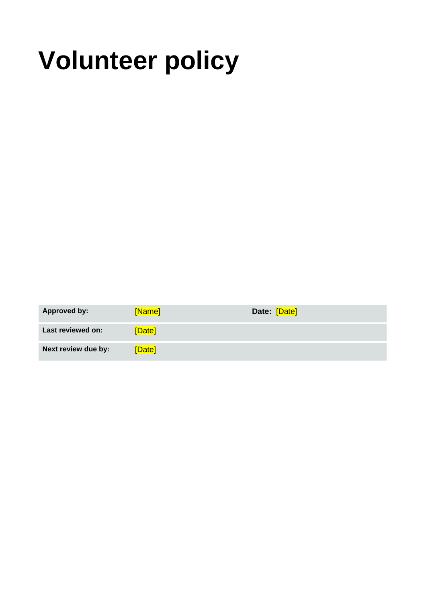# **Volunteer policy**

| <b>Approved by:</b> | [Name] | Date: [Date] |
|---------------------|--------|--------------|
| Last reviewed on:   | [Date] |              |
| Next review due by: | [Date] |              |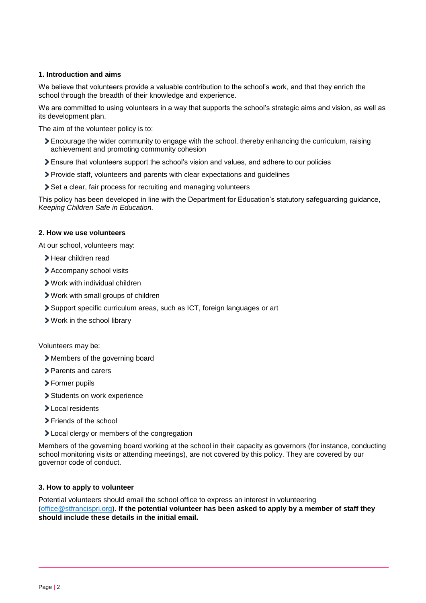# **1. Introduction and aims**

We believe that volunteers provide a valuable contribution to the school's work, and that they enrich the school through the breadth of their knowledge and experience.

We are committed to using volunteers in a way that supports the school's strategic aims and vision, as well as its development plan.

The aim of the volunteer policy is to:

- Encourage the wider community to engage with the school, thereby enhancing the curriculum, raising achievement and promoting community cohesion
- Ensure that volunteers support the school's vision and values, and adhere to our policies
- Provide staff, volunteers and parents with clear expectations and guidelines
- Set a clear, fair process for recruiting and managing volunteers

This policy has been developed in line with the Department for Education's statutory safeguarding guidance, *[Keeping Children Safe in Education.](https://www.gov.uk/government/publications/keeping-children-safe-in-education--2)* 

#### **2. How we use volunteers**

At our school, volunteers may:

- **>** Hear children read
- Accompany school visits
- Work with individual children
- Work with small groups of children
- Support specific curriculum areas, such as ICT, foreign languages or art
- Work in the school library

#### Volunteers may be:

- Members of the governing board
- **>** Parents and carers
- > Former pupils
- > Students on work experience
- > Local residents
- **>** Friends of the school
- **>** Local clergy or members of the congregation

Members of the governing board working at the school in their capacity as governors (for instance, conducting school monitoring visits or attending meetings), are not covered by this policy. They are covered by our governor code of conduct.

#### **3. How to apply to volunteer**

Potential volunteers should email the school office to express an interest in volunteering [\(office@stfrancispri.org\)](mailto:office@stfrancispri.org). **If the potential volunteer has been asked to apply by a member of staff they should include these details in the initial email.**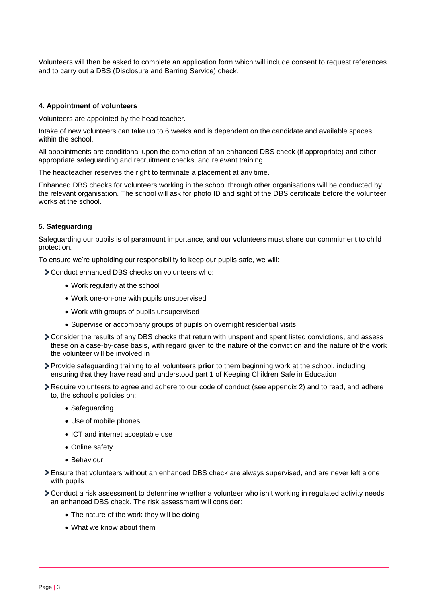Volunteers will then be asked to complete an application form which will include consent to request references and to carry out a DBS (Disclosure and Barring Service) check.

#### **4. Appointment of volunteers**

Volunteers are appointed by the head teacher.

Intake of new volunteers can take up to 6 weeks and is dependent on the candidate and available spaces within the school.

All appointments are conditional upon the completion of an enhanced DBS check (if appropriate) and other appropriate safeguarding and recruitment checks, and relevant training.

The headteacher reserves the right to terminate a placement at any time.

Enhanced DBS checks for volunteers working in the school through other organisations will be conducted by the relevant organisation. The school will ask for photo ID and sight of the DBS certificate before the volunteer works at the school.

### **5. Safeguarding**

Safeguarding our pupils is of paramount importance, and our volunteers must share our commitment to child protection.

To ensure we're upholding our responsibility to keep our pupils safe, we will:

- Conduct enhanced DBS checks on volunteers who:
	- Work regularly at the school
	- Work one-on-one with pupils unsupervised
	- Work with groups of pupils unsupervised
	- Supervise or accompany groups of pupils on overnight residential visits
- Consider the results of any DBS checks that return with unspent and spent listed convictions, and assess these on a case-by-case basis, with regard given to the nature of the conviction and the nature of the work the volunteer will be involved in
- Provide safeguarding training to all volunteers **prior** to them beginning work at the school, including ensuring that they have read and understood part 1 of Keeping Children Safe in Education
- Require volunteers to agree and adhere to our code of conduct (see appendix 2) and to read, and adhere to, the school's policies on:
	- Safeguarding
	- Use of mobile phones
	- ICT and internet acceptable use
	- Online safety
	- Behaviour
- Ensure that volunteers without an enhanced DBS check are always supervised, and are never left alone with pupils
- Conduct a risk assessment to determine whether a volunteer who isn't working in regulated activity needs an enhanced DBS check. The risk assessment will consider:
	- The nature of the work they will be doing
	- What we know about them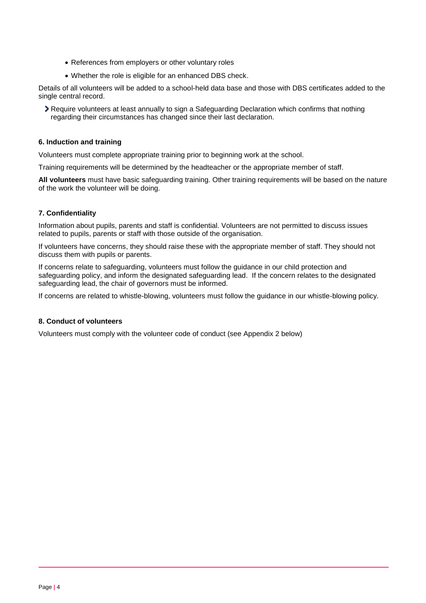- References from employers or other voluntary roles
- Whether the role is eligible for an enhanced DBS check.

Details of all volunteers will be added to a school-held data base and those with DBS certificates added to the single central record.

Require volunteers at least annually to sign a Safeguarding Declaration which confirms that nothing regarding their circumstances has changed since their last declaration.

### **6. Induction and training**

Volunteers must complete appropriate training prior to beginning work at the school.

Training requirements will be determined by the headteacher or the appropriate member of staff.

**All volunteers** must have basic safeguarding training. Other training requirements will be based on the nature of the work the volunteer will be doing.

# **7. Confidentiality**

Information about pupils, parents and staff is confidential. Volunteers are not permitted to discuss issues related to pupils, parents or staff with those outside of the organisation.

If volunteers have concerns, they should raise these with the appropriate member of staff. They should not discuss them with pupils or parents.

If concerns relate to safeguarding, volunteers must follow the guidance in our child protection and safeguarding policy, and inform the designated safeguarding lead. If the concern relates to the designated safeguarding lead, the chair of governors must be informed.

If concerns are related to whistle-blowing, volunteers must follow the guidance in our whistle-blowing policy.

# **8. Conduct of volunteers**

Volunteers must comply with the volunteer code of conduct (see Appendix 2 below)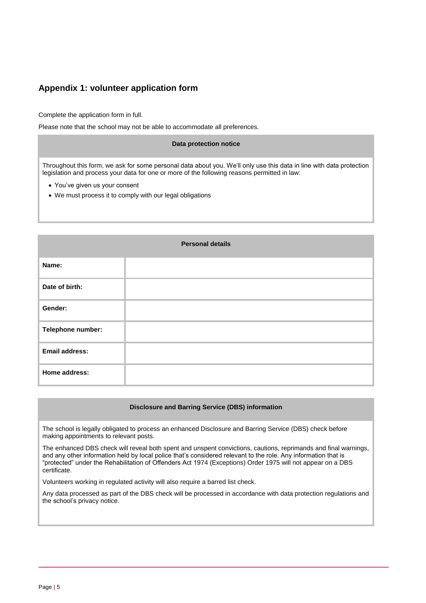# **Appendix 1: volunteer application form**

Complete the application form in full.

Please note that the school may not be able to accommodate all preferences.

#### **Data protection notice**

Throughout this form, we ask for some personal data about you. We'll only use this data in line with data protection legislation and process your data for one or more of the following reasons permitted in law:

- You've given us your consent
- We must process it to comply with our legal obligations

| <b>Personal details</b> |  |  |
|-------------------------|--|--|
| Name:                   |  |  |
| Date of birth:          |  |  |
| Gender:                 |  |  |
| Telephone number:       |  |  |
| <b>Email address:</b>   |  |  |
| Home address:           |  |  |

#### **Disclosure and Barring Service (DBS) information**

The school is legally obligated to process an enhanced Disclosure and Barring Service (DBS) check before making appointments to relevant posts.

The enhanced DBS check will reveal both spent and unspent convictions, cautions, reprimands and final warnings, and any other information held by local police that's considered relevant to the role. Any information that is "protected" under the Rehabilitation of Offenders Act 1974 (Exceptions) Order 1975 will not appear on a DBS certificate.

Volunteers working in regulated activity will also require a barred list check.

Any data processed as part of the DBS check will be processed in accordance with data protection regulations and the school's privacy notice.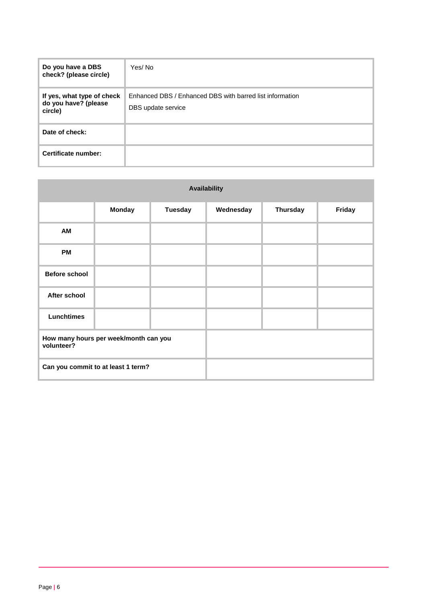| Do you have a DBS<br>check? (please circle)                   | Yes/No                                                                         |
|---------------------------------------------------------------|--------------------------------------------------------------------------------|
| If yes, what type of check<br>do you have? (please<br>circle) | Enhanced DBS / Enhanced DBS with barred list information<br>DBS update service |
| Date of check:                                                |                                                                                |
| Certificate number:                                           |                                                                                |

| <b>Availability</b>  |                                       |                |           |                 |        |
|----------------------|---------------------------------------|----------------|-----------|-----------------|--------|
|                      | <b>Monday</b>                         | <b>Tuesday</b> | Wednesday | <b>Thursday</b> | Friday |
| AM                   |                                       |                |           |                 |        |
| <b>PM</b>            |                                       |                |           |                 |        |
| <b>Before school</b> |                                       |                |           |                 |        |
| After school         |                                       |                |           |                 |        |
| <b>Lunchtimes</b>    |                                       |                |           |                 |        |
| volunteer?           | How many hours per week/month can you |                |           |                 |        |
|                      | Can you commit to at least 1 term?    |                |           |                 |        |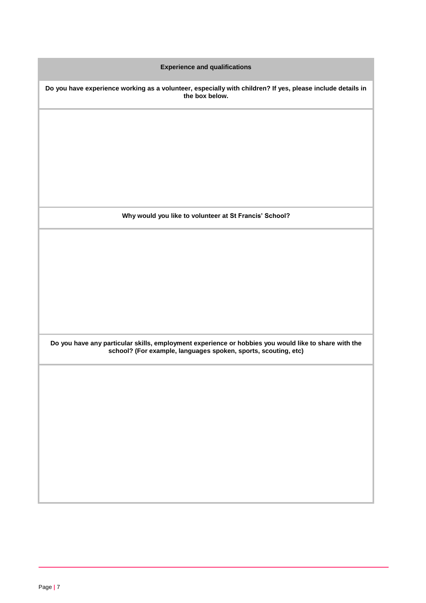**Experience and qualifications Do you have experience working as a volunteer, especially with children? If yes, please include details in the box below. Why would you like to volunteer at St Francis' School? Do you have any particular skills, employment experience or hobbies you would like to share with the school? (For example, languages spoken, sports, scouting, etc)**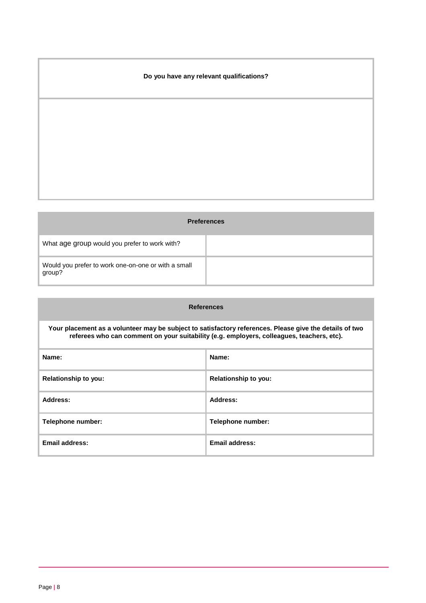# **Do you have any relevant qualifications?**

| <b>Preferences</b>                                            |  |  |
|---------------------------------------------------------------|--|--|
| What age group would you prefer to work with?                 |  |  |
| Would you prefer to work one-on-one or with a small<br>group? |  |  |

| <b>References</b>                                                                                                                                                                                    |                      |
|------------------------------------------------------------------------------------------------------------------------------------------------------------------------------------------------------|----------------------|
| Your placement as a volunteer may be subject to satisfactory references. Please give the details of two<br>referees who can comment on your suitability (e.g. employers, colleagues, teachers, etc). |                      |
| Name:                                                                                                                                                                                                | Name:                |
| <b>Relationship to you:</b>                                                                                                                                                                          | Relationship to you: |
| Address:                                                                                                                                                                                             | Address:             |
| Telephone number:                                                                                                                                                                                    | Telephone number:    |
| Email address:                                                                                                                                                                                       | Email address:       |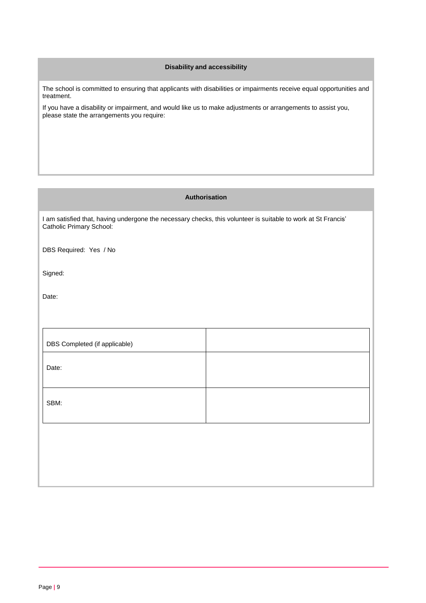# **Disability and accessibility**

The school is committed to ensuring that applicants with disabilities or impairments receive equal opportunities and treatment.

If you have a disability or impairment, and would like us to make adjustments or arrangements to assist you, please state the arrangements you require:

# **Authorisation**

I am satisfied that, having undergone the necessary checks, this volunteer is suitable to work at St Francis' Catholic Primary School:

DBS Required: Yes / No

Signed:

Date:

| DBS Completed (if applicable) |  |
|-------------------------------|--|
| Date:                         |  |
| SBM:                          |  |
|                               |  |
|                               |  |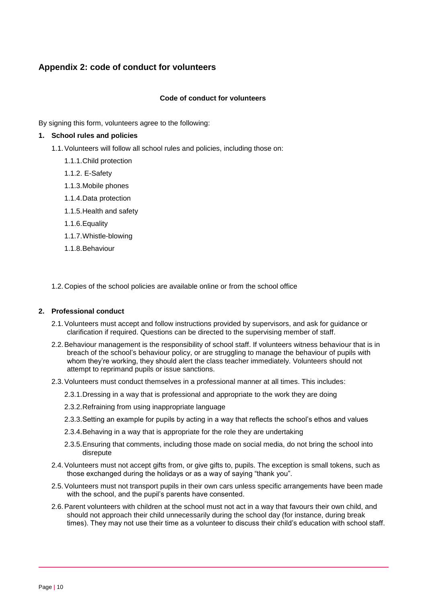# **Appendix 2: code of conduct for volunteers**

## **Code of conduct for volunteers**

By signing this form, volunteers agree to the following:

# **1. School rules and policies**

- 1.1.Volunteers will follow all school rules and policies, including those on:
	- 1.1.1.Child protection
	- 1.1.2. E-Safety
	- 1.1.3.Mobile phones
	- 1.1.4.Data protection
	- 1.1.5.Health and safety
	- 1.1.6.Equality
	- 1.1.7.Whistle-blowing
	- 1.1.8.Behaviour

1.2. Copies of the school policies are available online or from the school office

#### **2. Professional conduct**

- 2.1.Volunteers must accept and follow instructions provided by supervisors, and ask for guidance or clarification if required. Questions can be directed to the supervising member of staff.
- 2.2.Behaviour management is the responsibility of school staff. If volunteers witness behaviour that is in breach of the school's behaviour policy, or are struggling to manage the behaviour of pupils with whom they're working, they should alert the class teacher immediately. Volunteers should not attempt to reprimand pupils or issue sanctions.
- 2.3.Volunteers must conduct themselves in a professional manner at all times. This includes:
	- 2.3.1.Dressing in a way that is professional and appropriate to the work they are doing
	- 2.3.2.Refraining from using inappropriate language
	- 2.3.3.Setting an example for pupils by acting in a way that reflects the school's ethos and values
	- 2.3.4.Behaving in a way that is appropriate for the role they are undertaking
	- 2.3.5.Ensuring that comments, including those made on social media, do not bring the school into disrepute
- 2.4.Volunteers must not accept gifts from, or give gifts to, pupils. The exception is small tokens, such as those exchanged during the holidays or as a way of saying "thank you".
- 2.5.Volunteers must not transport pupils in their own cars unless specific arrangements have been made with the school, and the pupil's parents have consented.
- 2.6.Parent volunteers with children at the school must not act in a way that favours their own child, and should not approach their child unnecessarily during the school day (for instance, during break times). They may not use their time as a volunteer to discuss their child's education with school staff.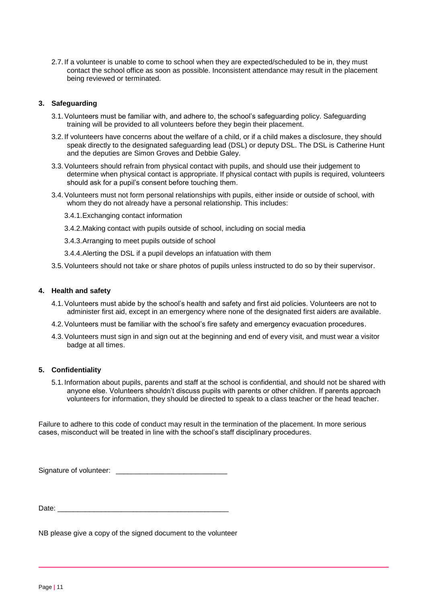2.7. If a volunteer is unable to come to school when they are expected/scheduled to be in, they must contact the school office as soon as possible. Inconsistent attendance may result in the placement being reviewed or terminated.

# **3. Safeguarding**

- 3.1.Volunteers must be familiar with, and adhere to, the school's safeguarding policy. Safeguarding training will be provided to all volunteers before they begin their placement.
- 3.2. If volunteers have concerns about the welfare of a child, or if a child makes a disclosure, they should speak directly to the designated safeguarding lead (DSL) or deputy DSL. The DSL is Catherine Hunt and the deputies are Simon Groves and Debbie Galey.
- 3.3.Volunteers should refrain from physical contact with pupils, and should use their judgement to determine when physical contact is appropriate. If physical contact with pupils is required, volunteers should ask for a pupil's consent before touching them.
- 3.4.Volunteers must not form personal relationships with pupils, either inside or outside of school, with whom they do not already have a personal relationship. This includes:
	- 3.4.1.Exchanging contact information
	- 3.4.2.Making contact with pupils outside of school, including on social media
	- 3.4.3.Arranging to meet pupils outside of school
	- 3.4.4.Alerting the DSL if a pupil develops an infatuation with them
- 3.5.Volunteers should not take or share photos of pupils unless instructed to do so by their supervisor.

#### **4. Health and safety**

- 4.1.Volunteers must abide by the school's health and safety and first aid policies. Volunteers are not to administer first aid, except in an emergency where none of the designated first aiders are available.
- 4.2.Volunteers must be familiar with the school's fire safety and emergency evacuation procedures.
- 4.3.Volunteers must sign in and sign out at the beginning and end of every visit, and must wear a visitor badge at all times.

#### **5. Confidentiality**

5.1. Information about pupils, parents and staff at the school is confidential, and should not be shared with anyone else. Volunteers shouldn't discuss pupils with parents or other children. If parents approach volunteers for information, they should be directed to speak to a class teacher or the head teacher.

Failure to adhere to this code of conduct may result in the termination of the placement. In more serious cases, misconduct will be treated in line with the school's staff disciplinary procedures.

Signature of volunteer: \_\_\_\_\_\_\_\_\_\_\_\_\_\_\_\_\_\_\_\_\_\_\_\_\_\_\_\_

Date:

NB please give a copy of the signed document to the volunteer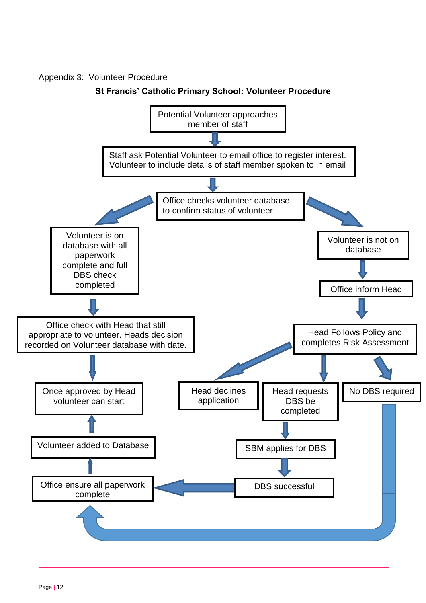# Appendix 3: Volunteer Procedure

# **St Francis' Catholic Primary School: Volunteer Procedure**

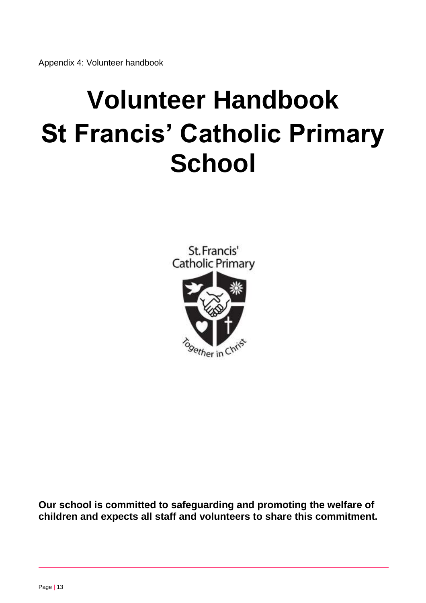# **Volunteer Handbook St Francis' Catholic Primary School**

St. Francis' **Catholic Primary** 



**Our school is committed to safeguarding and promoting the welfare of children and expects all staff and volunteers to share this commitment.**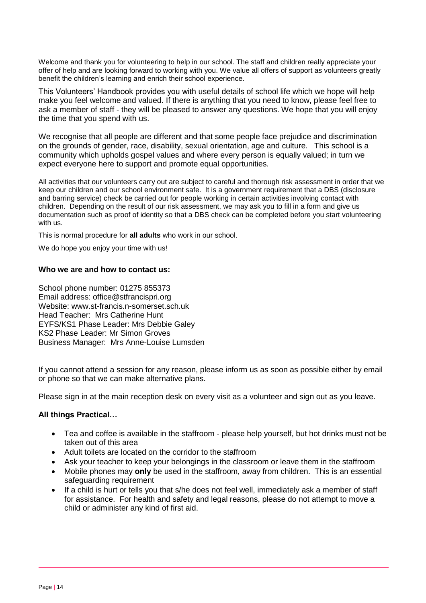Welcome and thank you for volunteering to help in our school. The staff and children really appreciate your offer of help and are looking forward to working with you. We value all offers of support as volunteers greatly benefit the children's learning and enrich their school experience.

This Volunteers' Handbook provides you with useful details of school life which we hope will help make you feel welcome and valued. If there is anything that you need to know, please feel free to ask a member of staff - they will be pleased to answer any questions. We hope that you will enjoy the time that you spend with us.

We recognise that all people are different and that some people face prejudice and discrimination on the grounds of gender, race, disability, sexual orientation, age and culture. This school is a community which upholds gospel values and where every person is equally valued; in turn we expect everyone here to support and promote equal opportunities.

All activities that our volunteers carry out are subject to careful and thorough risk assessment in order that we keep our children and our school environment safe. It is a government requirement that a DBS (disclosure and barring service) check be carried out for people working in certain activities involving contact with children. Depending on the result of our risk assessment, we may ask you to fill in a form and give us documentation such as proof of identity so that a DBS check can be completed before you start volunteering with us.

This is normal procedure for **all adults** who work in our school.

We do hope you enjoy your time with us!

# **Who we are and how to contact us:**

School phone number: 01275 855373 Email address: office@stfrancispri.org Website: www.st-francis.n-somerset.sch.uk Head Teacher: Mrs Catherine Hunt EYFS/KS1 Phase Leader: Mrs Debbie Galey KS2 Phase Leader: Mr Simon Groves Business Manager: Mrs Anne-Louise Lumsden

If you cannot attend a session for any reason, please inform us as soon as possible either by email or phone so that we can make alternative plans.

Please sign in at the main reception desk on every visit as a volunteer and sign out as you leave.

# **All things Practical…**

- Tea and coffee is available in the staffroom please help yourself, but hot drinks must not be taken out of this area
- Adult toilets are located on the corridor to the staffroom
- Ask your teacher to keep your belongings in the classroom or leave them in the staffroom
- Mobile phones may **only** be used in the staffroom, away from children. This is an essential safeguarding requirement
- If a child is hurt or tells you that s/he does not feel well, immediately ask a member of staff for assistance. For health and safety and legal reasons, please do not attempt to move a child or administer any kind of first aid.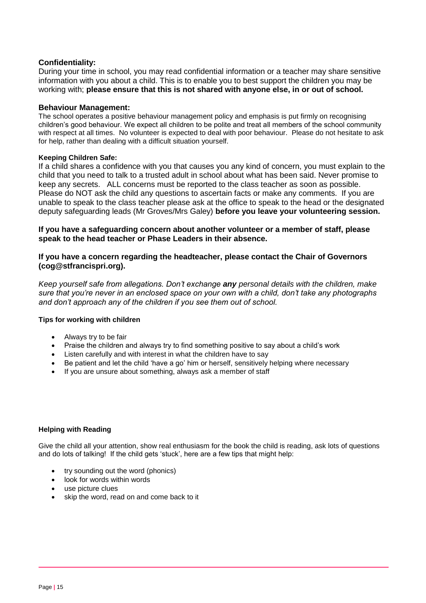# **Confidentiality:**

During your time in school, you may read confidential information or a teacher may share sensitive information with you about a child. This is to enable you to best support the children you may be working with; **please ensure that this is not shared with anyone else, in or out of school.** 

# **Behaviour Management:**

The school operates a positive behaviour management policy and emphasis is put firmly on recognising children's good behaviour. We expect all children to be polite and treat all members of the school community with respect at all times. No volunteer is expected to deal with poor behaviour. Please do not hesitate to ask for help, rather than dealing with a difficult situation yourself.

# **Keeping Children Safe:**

If a child shares a confidence with you that causes you any kind of concern, you must explain to the child that you need to talk to a trusted adult in school about what has been said. Never promise to keep any secrets. ALL concerns must be reported to the class teacher as soon as possible. Please do NOT ask the child any questions to ascertain facts or make any comments. If you are unable to speak to the class teacher please ask at the office to speak to the head or the designated deputy safeguarding leads (Mr Groves/Mrs Galey) **before you leave your volunteering session.**

**If you have a safeguarding concern about another volunteer or a member of staff, please speak to the head teacher or Phase Leaders in their absence.**

# **If you have a concern regarding the headteacher, please contact the Chair of Governors (cog@stfrancispri.org).**

*Keep yourself safe from allegations. Don't exchange any personal details with the children, make sure that you're never in an enclosed space on your own with a child, don't take any photographs and don't approach any of the children if you see them out of school.*

# **Tips for working with children**

- Always try to be fair
- Praise the children and always try to find something positive to say about a child's work
- Listen carefully and with interest in what the children have to say
- Be patient and let the child 'have a go' him or herself, sensitively helping where necessary
- If you are unsure about something, always ask a member of staff

# **Helping with Reading**

Give the child all your attention, show real enthusiasm for the book the child is reading, ask lots of questions and do lots of talking! If the child gets 'stuck', here are a few tips that might help:

- try sounding out the word (phonics)
- look for words within words
- use picture clues
- skip the word, read on and come back to it